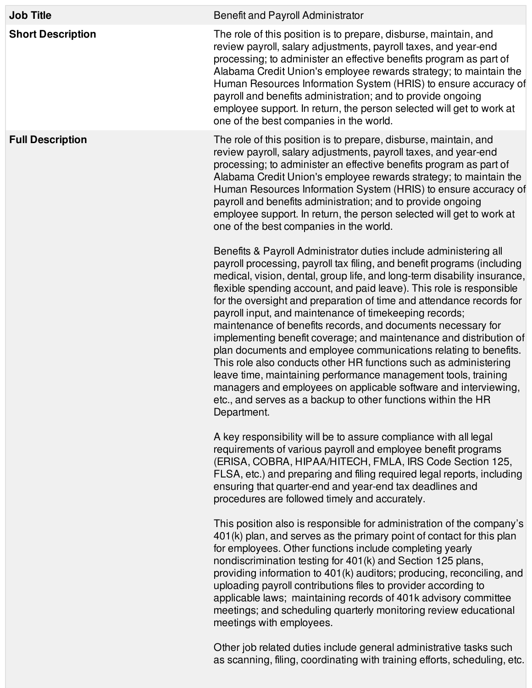| <b>Job Title</b>         | Benefit and Payroll Administrator                                                                                                                                                                                                                                                                                                                                                                                                                                                                                                                                                                                                                                                                                                                                                                                                                                                                                                     |
|--------------------------|---------------------------------------------------------------------------------------------------------------------------------------------------------------------------------------------------------------------------------------------------------------------------------------------------------------------------------------------------------------------------------------------------------------------------------------------------------------------------------------------------------------------------------------------------------------------------------------------------------------------------------------------------------------------------------------------------------------------------------------------------------------------------------------------------------------------------------------------------------------------------------------------------------------------------------------|
| <b>Short Description</b> | The role of this position is to prepare, disburse, maintain, and<br>review payroll, salary adjustments, payroll taxes, and year-end<br>processing; to administer an effective benefits program as part of<br>Alabama Credit Union's employee rewards strategy; to maintain the<br>Human Resources Information System (HRIS) to ensure accuracy of<br>payroll and benefits administration; and to provide ongoing<br>employee support. In return, the person selected will get to work at<br>one of the best companies in the world.                                                                                                                                                                                                                                                                                                                                                                                                   |
| <b>Full Description</b>  | The role of this position is to prepare, disburse, maintain, and<br>review payroll, salary adjustments, payroll taxes, and year-end<br>processing; to administer an effective benefits program as part of<br>Alabama Credit Union's employee rewards strategy; to maintain the<br>Human Resources Information System (HRIS) to ensure accuracy of<br>payroll and benefits administration; and to provide ongoing<br>employee support. In return, the person selected will get to work at<br>one of the best companies in the world.                                                                                                                                                                                                                                                                                                                                                                                                   |
|                          | Benefits & Payroll Administrator duties include administering all<br>payroll processing, payroll tax filing, and benefit programs (including<br>medical, vision, dental, group life, and long-term disability insurance,<br>flexible spending account, and paid leave). This role is responsible<br>for the oversight and preparation of time and attendance records for<br>payroll input, and maintenance of timekeeping records;<br>maintenance of benefits records, and documents necessary for<br>implementing benefit coverage; and maintenance and distribution of<br>plan documents and employee communications relating to benefits.<br>This role also conducts other HR functions such as administering<br>leave time, maintaining performance management tools, training<br>managers and employees on applicable software and interviewing,<br>etc., and serves as a backup to other functions within the HR<br>Department. |
|                          | A key responsibility will be to assure compliance with all legal<br>requirements of various payroll and employee benefit programs<br>(ERISA, COBRA, HIPAA/HITECH, FMLA, IRS Code Section 125,<br>FLSA, etc.) and preparing and filing required legal reports, including<br>ensuring that quarter-end and year-end tax deadlines and<br>procedures are followed timely and accurately.                                                                                                                                                                                                                                                                                                                                                                                                                                                                                                                                                 |
|                          | This position also is responsible for administration of the company's<br>401(k) plan, and serves as the primary point of contact for this plan<br>for employees. Other functions include completing yearly<br>nondiscrimination testing for 401(k) and Section 125 plans,<br>providing information to 401(k) auditors; producing, reconciling, and<br>uploading payroll contributions files to provider according to<br>applicable laws; maintaining records of 401k advisory committee<br>meetings; and scheduling quarterly monitoring review educational<br>meetings with employees.                                                                                                                                                                                                                                                                                                                                               |
|                          | Other job related duties include general administrative tasks such                                                                                                                                                                                                                                                                                                                                                                                                                                                                                                                                                                                                                                                                                                                                                                                                                                                                    |

as scanning, filing, coordinating with training efforts, scheduling, etc.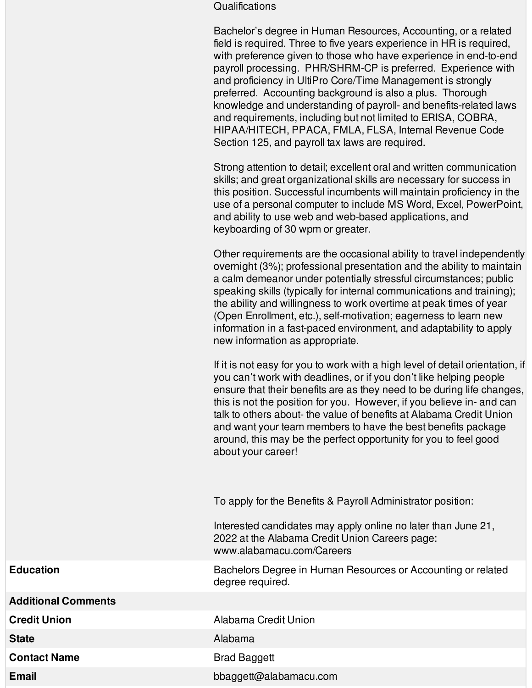## **Qualifications**

Bachelor's degree in Human Resources, Accounting, or a related field is required. Three to five years experience in HR is required, with preference given to those who have experience in end-to-end payroll processing. PHR/SHRM-CP is preferred. Experience with and proficiency in UltiPro Core/Time Management is strongly preferred. Accounting background is also a plus. Thorough knowledge and understanding of payroll- and benefits-related laws and requirements, including but not limited to ERISA, COBRA, HIPAA/HITECH, PPACA, FMLA, FLSA, Internal Revenue Code Section 125, and payroll tax laws are required.

Strong attention to detail; excellent oral and written communication skills; and great organizational skills are necessary for success in this position. Successful incumbents will maintain proficiency in the use of a personal computer to include MS Word, Excel, PowerPoint, and ability to use web and web-based applications, and keyboarding of 30 wpm or greater.

Other requirements are the occasional ability to travel independently overnight (3%); professional presentation and the ability to maintain a calm demeanor under potentially stressful circumstances; public speaking skills (typically for internal communications and training); the ability and willingness to work overtime at peak times of year (Open Enrollment, etc.), self-motivation; eagerness to learn new information in a fast-paced environment, and adaptability to apply new information as appropriate.

If it is not easy for you to work with a high level of detail orientation, if you can't work with deadlines, or if you don't like helping people ensure that their benefits are as they need to be during life changes, this is not the position for you. However, if you believe in- and can talk to others about- the value of benefits at Alabama Credit Union and want your team members to have the best benefits package around, this may be the perfect opportunity for you to feel good about your career!

To apply for the Benefits & Payroll Administrator position:

Interested candidates may apply online no later than June 21, 2022 at the Alabama Credit Union Careers page: www.alabamacu.com/Careers

**Education Education Bachelors Degree in Human Resources or Accounting or related** degree required.

**Additional Comments**

**Contact Name** Brad Baggett

**Credit Union Credit Union** 

**State** Alabama **Alabama** 

**Email** bbaggett@alabamacu.com